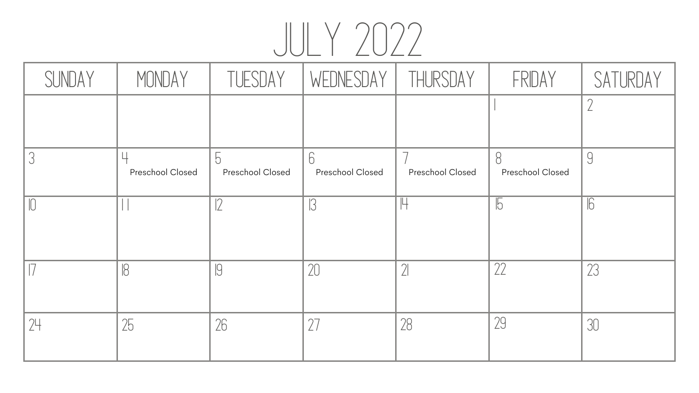#### JULY 2022 Preschool Closed | Preschool Closed | Preschool Closed | Prescho SUNDAY | MONDAY | TUESDAY | WEDNESDAY | THUR 3 4 5 6 7 8 9  $10$  1 1 1  $12$  1 3 1  $14$  1  $15$  1  $16$ 17 18 19 20 21 22 23 24 25 26 27 28 29 30

| RSDAY             | FRIDAY                             | SATURDAY         |
|-------------------|------------------------------------|------------------|
|                   |                                    | $\sqrt{2}$       |
| <b>ool Closed</b> | $\beta$<br><b>Preschool Closed</b> | 9                |
|                   | $\sqrt{5}$                         | $\overline{6}$   |
|                   |                                    | $\sum_{i=1}^{n}$ |
|                   | 29                                 | 30               |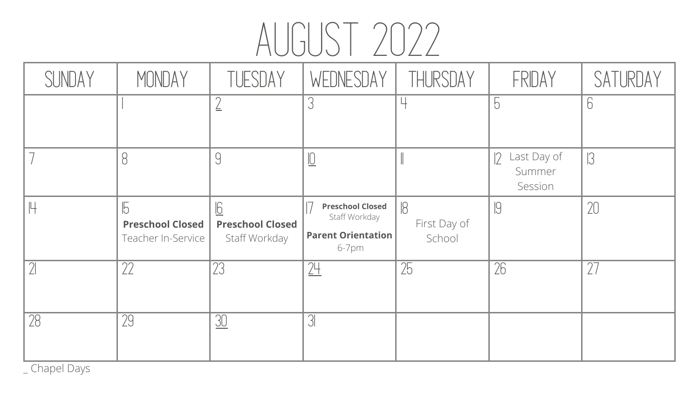### AUGUST 2022

| SUNDAY   | MONDAY                                                      | TUESDAY                                       | WEDNESDAY                                                                         | THURSDAY                     | FRIDAY                             | SATURDAY |
|----------|-------------------------------------------------------------|-----------------------------------------------|-----------------------------------------------------------------------------------|------------------------------|------------------------------------|----------|
|          |                                                             | $\leftrightharpoons$                          |                                                                                   |                              | $\overline{5}$                     |          |
|          |                                                             | 9                                             | <u>ାଠ</u>                                                                         |                              | 2 Last Day of<br>Summer<br>Session | 13       |
| 円        | $\sqrt{5}$<br><b>Preschool Closed</b><br>Teacher In-Service | 6<br><b>Preschool Closed</b><br>Staff Workday | <b>Preschool Closed</b><br>Staff Workday<br><b>Parent Orientation</b><br>$6-7$ pm | 18<br>First Day of<br>School | $\sqrt{9}$                         | 20       |
| $\gamma$ | 77                                                          | 23                                            | 24                                                                                | 25                           | 26                                 |          |
|          |                                                             |                                               |                                                                                   |                              |                                    |          |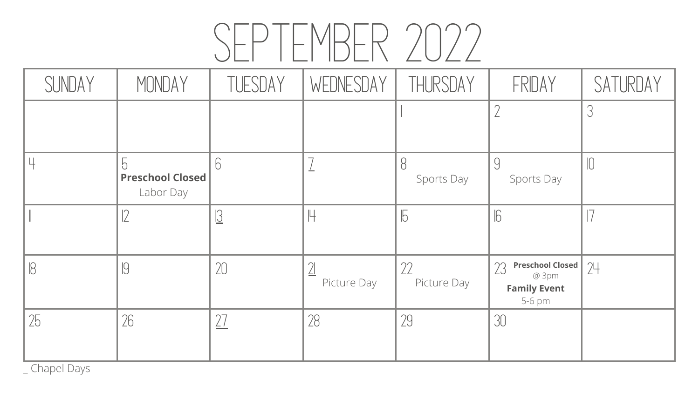# SEPTEMBER 2022

| SUNDAY | MONDAY                               | TUESDAY                  | WEDNESDAY   | THURSDAY          | FRIDAY                                                                  | SATURDAY |
|--------|--------------------------------------|--------------------------|-------------|-------------------|-------------------------------------------------------------------------|----------|
|        |                                      |                          |             |                   |                                                                         |          |
|        | <b>Preschool Closed</b><br>Labor Day |                          |             | Sports Day        | Sports Day                                                              |          |
|        |                                      | $\overline{\mathcal{C}}$ |             | $\overline{5}$    | $\sqrt{6}$                                                              |          |
|        | IJ                                   | 20                       | Picture Day | 22<br>Picture Day | <b>Preschool Closed</b><br>23<br>@ 3pm<br><b>Family Event</b><br>5-6 pm | 24       |
| 25     | 26                                   |                          | 28          | 29                | 30                                                                      |          |

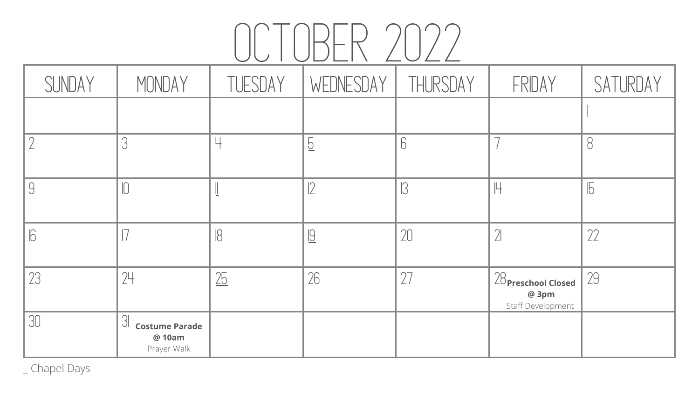| FRIDAY                                              | SATURDAY   |
|-----------------------------------------------------|------------|
|                                                     |            |
|                                                     | $\beta$    |
| 世                                                   | $\sqrt{5}$ |
|                                                     | 22         |
| $28$ Preschool Closed<br>@ 3pm<br>Staff Development | 29         |
|                                                     |            |
|                                                     |            |

#### OCTOBER 2022 SUNDAY | MONDAY | TUESDAY | WEDNESDAY | THUR  $2$  3 4 6 6 7 8 9 10 11 12 13 14 15 16 17 18 19 120 121 122  $23$  24 25 26 27 28 28 28 28 28 29 29 30 31 **Costume Parade**

**@ 10am**

Prayer Walk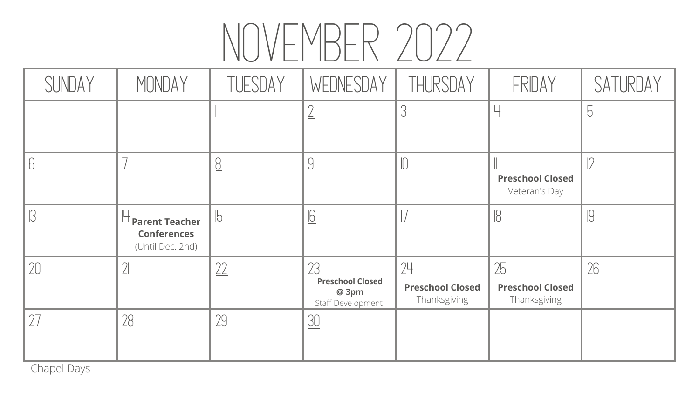# NOVEMBER 2022

| SUNDAY | MONDAY                                                          | TUESDAY     | WEDNESDAY                                                               | THURSDAY                                      | FRIDAY                                        | SATURDAY       |
|--------|-----------------------------------------------------------------|-------------|-------------------------------------------------------------------------|-----------------------------------------------|-----------------------------------------------|----------------|
|        |                                                                 |             |                                                                         | $\cup$                                        |                                               | $\overline{5}$ |
|        |                                                                 | 8           |                                                                         |                                               | <b>Preschool Closed</b><br>Veteran's Day      | 2              |
|        | <b>Parent Teacher</b><br><b>Conferences</b><br>(Until Dec. 2nd) |             | 6                                                                       |                                               | $\beta$                                       | 19             |
| 20     |                                                                 | $\cap$<br>L | 2 <sup>2</sup><br><b>Preschool Closed</b><br>@ 3pm<br>Staff Development | 24<br><b>Preschool Closed</b><br>Thanksgiving | 25<br><b>Preschool Closed</b><br>Thanksgiving | 26             |
|        | 28                                                              | 29          | 30                                                                      |                                               |                                               |                |

| $\angle$ U $\angle$ $\angle$                  |                                               |                |
|-----------------------------------------------|-----------------------------------------------|----------------|
| THURSDAY                                      | FRIDAY                                        | SATURDAY       |
| $\mathcal{S}$                                 |                                               | $\overline{5}$ |
| $\bigcap$                                     | <b>Preschool Closed</b><br>Veteran's Day      |                |
|                                               | $\overline{\mathcal{B}}$                      | 19             |
| 74<br><b>Preschool Closed</b><br>Thanksgiving | 25<br><b>Preschool Closed</b><br>Thanksgiving | 2C<br>ΖO       |
|                                               |                                               |                |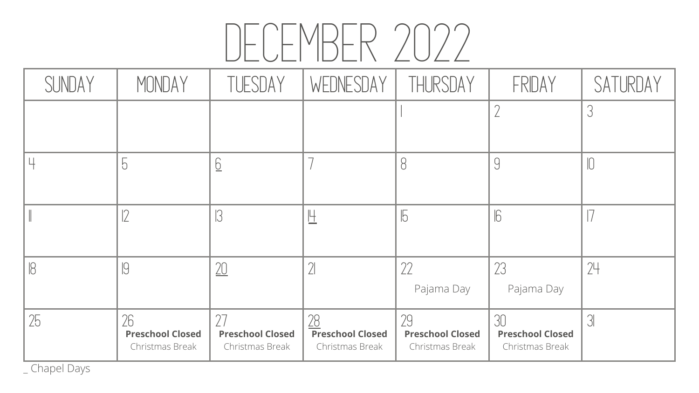# DECEMBER 2022

|        | ULVLI IULI\ <i>L</i> U <i>LL</i>                 |                                            |                                                         |                                                  |                                                  |                  |
|--------|--------------------------------------------------|--------------------------------------------|---------------------------------------------------------|--------------------------------------------------|--------------------------------------------------|------------------|
| SUNDAY | MONDAY                                           | TUFSDAY                                    | WEDNESDAY   THURSDAY                                    |                                                  | FRIDAY                                           | SATURDAY         |
|        |                                                  |                                            |                                                         |                                                  |                                                  |                  |
|        |                                                  |                                            |                                                         |                                                  |                                                  |                  |
|        |                                                  |                                            |                                                         |                                                  | 16                                               |                  |
| ▮U     | ∣∪∣                                              | $\gamma$<br>$\underline{\triangle\cup}$    | $\lfloor$                                               | $\cap$<br>LL<br>Pajama Day                       | $\cap$<br>ムー<br>Pajama Day                       | 74<br>$\angle$ 1 |
| 25     | 26<br><b>Preschool Closed</b><br>Christmas Break | <b>Preschool Closed</b><br>Christmas Break | <u>78</u><br><b>Preschool Closed</b><br>Christmas Break | 29<br><b>Preschool Closed</b><br>Christmas Break | 30<br><b>Preschool Closed</b><br>Christmas Break | 3 <sup>1</sup>   |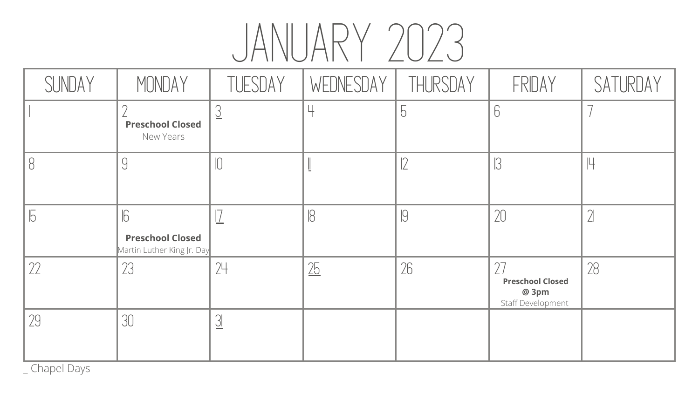# JANUARY 2023

| SUNDAY | MONDAY                                                | TUESDAY  | WEDNESDAY | THURSDAY  | FRIDAY                                                       | SATURDAY     |
|--------|-------------------------------------------------------|----------|-----------|-----------|--------------------------------------------------------------|--------------|
|        | <b>Preschool Closed</b><br>New Years                  |          |           | $\bigcup$ |                                                              |              |
| 18     |                                                       |          |           |           |                                                              | Щ            |
| 15     | <b>Preschool Closed</b><br>Martin Luther King Jr. Day |          |           | C         | 20                                                           | $\mathbb{Z}$ |
| 22     | 23                                                    | 24       | 25        | 26        | <b>Preschool Closed</b><br>@ 3pm<br><b>Staff Development</b> | 28           |
| 29     | 30                                                    | <u>니</u> |           |           |                                                              |              |

| ZUZJ           |                                                       |          |
|----------------|-------------------------------------------------------|----------|
| THURSDAY       | FRIDAY                                                | SATURDAY |
| $\overline{5}$ | $\sqrt{2}$                                            |          |
| $ 2\rangle$    | $\mathcal{B}$                                         | 14       |
| 19             | 20                                                    | $\gamma$ |
|                | <b>Preschool Closed</b><br>@ 3pm<br>Staff Development |          |
|                |                                                       |          |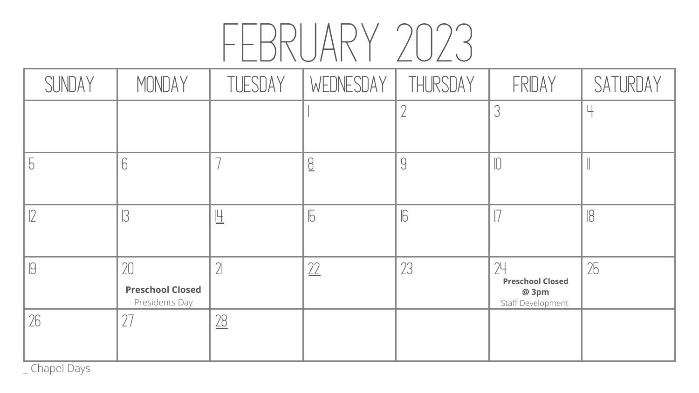# FEBRUARY 20

| SUNDAY | MONDAY                                          | TUESDAY | WEDNESDAY   THURSDAY |            | FRIDAY                                                             | SATURDAY |
|--------|-------------------------------------------------|---------|----------------------|------------|--------------------------------------------------------------------|----------|
|        |                                                 |         |                      |            |                                                                    | Ц        |
|        |                                                 |         |                      | $\bigcup$  |                                                                    |          |
|        |                                                 |         |                      | $\sqrt{6}$ |                                                                    | 18       |
| IJ     | 20<br><b>Preschool Closed</b><br>Presidents Day |         |                      | 23         | 24<br><b>Preschool Closed</b><br>@ 3pm<br><b>Staff Development</b> | 25       |
| 26     | 27                                              | 28      |                      |            |                                                                    |          |

| WEDNESDAY   THURSDAY |            | FRIDAY                                                                  | SATURDAY   |
|----------------------|------------|-------------------------------------------------------------------------|------------|
|                      |            | 3                                                                       |            |
| $\overline{0}$       | 9          | $\sqrt{2}$                                                              |            |
| $\overline{5}$       | $\sqrt{6}$ | $\overline{ }$                                                          | $\sqrt{8}$ |
| 22                   | 23         | 7 <sup>4</sup><br><b>Preschool Closed</b><br>@ 3pm<br>Staff Development | 25         |
|                      |            |                                                                         |            |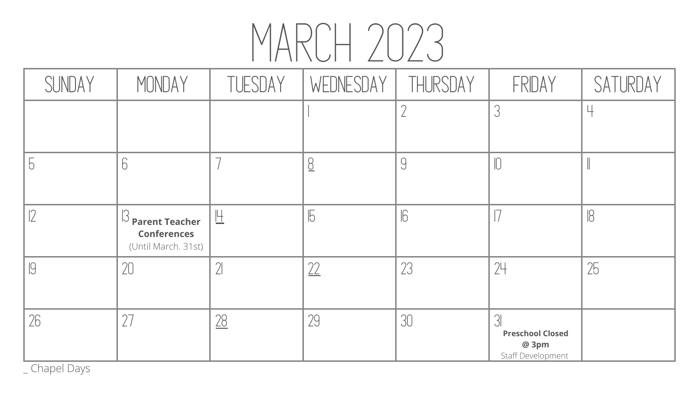# MARCH 2023

| SUNDAY | MONDAY                                                                                | TUESDAY | WEDNESDAY   THURSDAY     |                | FRIDAY                                                       | SATURDAY |
|--------|---------------------------------------------------------------------------------------|---------|--------------------------|----------------|--------------------------------------------------------------|----------|
|        |                                                                                       |         |                          |                |                                                              | Ц        |
| D      |                                                                                       |         |                          | $\overline{9}$ |                                                              |          |
|        | $\mathsf{I}^{\mathsf{I}}$ Parent Teacher<br><b>Conferences</b><br>(Until March. 31st) |         |                          | 6              |                                                              | 18       |
|        | 20                                                                                    |         | $\overline{\phantom{m}}$ | 23             | 24                                                           | 25       |
| 26     |                                                                                       | 28      | 29                       | 30             | <b>Preschool Closed</b><br>@ 3pm<br><b>Staff Development</b> |          |

\_ Chapel Days

| IVII LVLV            |            |                                                            |            |
|----------------------|------------|------------------------------------------------------------|------------|
| WEDNESDAY   THURSDAY |            | FRIDAY                                                     | SATURDAY   |
|                      |            | 3                                                          |            |
| $\overline{0}$       | <u>g</u>   | $\sqrt{2}$                                                 |            |
| $\overline{5}$       | $\sqrt{6}$ |                                                            | $\sqrt{8}$ |
| 22                   | 23         |                                                            | 25         |
| 2C                   | 30         | 3<br><b>Preschool Closed</b><br>@ 3pm<br>Staff Development |            |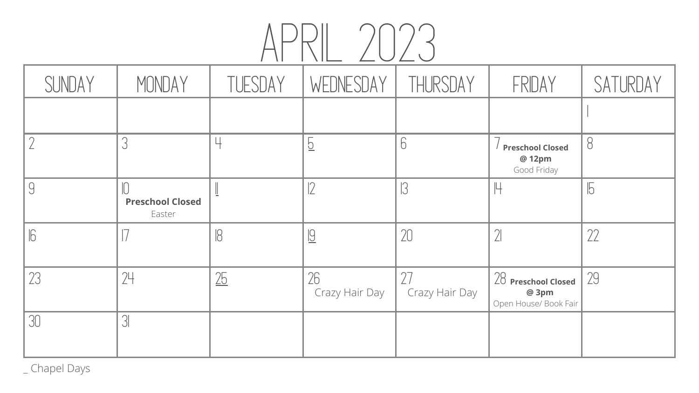| SUNDAY               | MONDAY                            | TUESDAY | WEDNESDAY                     | THURSDAY       | FRIDAY                                                  | SATURDAY       |  |  |
|----------------------|-----------------------------------|---------|-------------------------------|----------------|---------------------------------------------------------|----------------|--|--|
|                      |                                   |         |                               |                |                                                         |                |  |  |
|                      |                                   |         | $\overline{C}$                | 6              | <b>Preschool Closed</b><br>@ 12pm<br>Good Friday        | 8              |  |  |
|                      | <b>Preschool Closed</b><br>Easter |         |                               | $\sqrt{3}$     |                                                         | $\sqrt{5}$     |  |  |
| $\mathsf{In}$<br>∥∣∪ | $\perp$                           | $\cup$  | Q <br>$\overline{\mathsf{r}}$ | $\gamma$<br>LU | $\gamma$<br>$\lfloor$                                   | $\gamma$<br>LL |  |  |
| 23                   | 24                                | 25      | 26<br>Crazy Hair Day          | Crazy Hair Day | $28$ Preschool Closed<br>@ 3pm<br>Open House/ Book Fair | 29             |  |  |
| 30                   | $\sqrt{3}$                        |         |                               |                |                                                         |                |  |  |

| RSDAY    | FRIDAY                                                    | SATURDAY   |
|----------|-----------------------------------------------------------|------------|
|          |                                                           |            |
|          | <b>Preschool Closed</b><br>@ 12pm<br>Good Friday          | 8          |
|          | $\mathbb H$                                               | $\sqrt{5}$ |
|          | $\gamma$                                                  | 22         |
| Hair Day | <b>Preschool Closed</b><br>@ 3pm<br>Open House/ Book Fair |            |
|          |                                                           |            |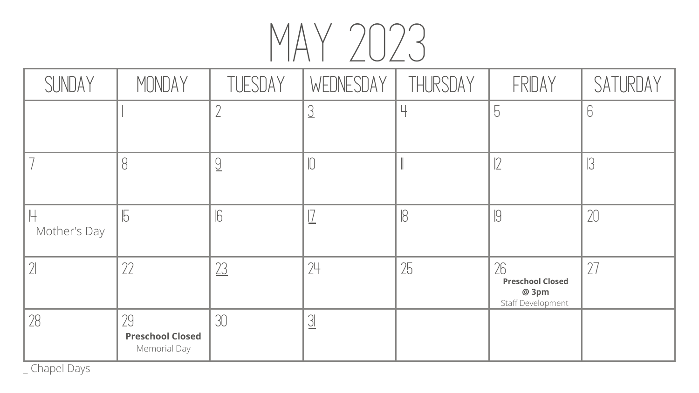# MAY 2023

| SUNDAY       | MONDAY                                        | TUESDAY    | WEDNESDAY | THURSDAY | FRIDAY                                                      | SATURDAY |
|--------------|-----------------------------------------------|------------|-----------|----------|-------------------------------------------------------------|----------|
|              |                                               |            |           |          | $\overline{5}$                                              |          |
|              |                                               |            |           |          | 2                                                           |          |
| Mother's Day | $\overline{5}$                                | $\sqrt{6}$ |           |          | $\sqrt{9}$                                                  | 20       |
|              | 22                                            | 23         | 24        | 25       | 26<br><b>Preschool Closed</b><br>@ 3pm<br>Staff Development |          |
| 28           | 29<br><b>Preschool Closed</b><br>Memorial Day | 30         | <u>니</u>  |          |                                                             |          |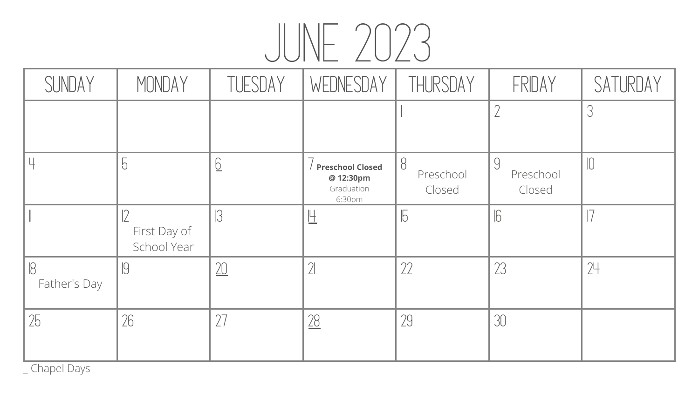# JUNE 2023

| SUNDAY             | MONDAY                      | TUESDAY         | WEDNESDAY                                                    | THURSDAY                       | FRIDAY                           | SATURDAY |
|--------------------|-----------------------------|-----------------|--------------------------------------------------------------|--------------------------------|----------------------------------|----------|
|                    |                             |                 |                                                              |                                |                                  |          |
|                    | $\overline{O}$              | $\underline{6}$ | <b>Preschool Closed</b><br>@ 12:30pm<br>Graduation<br>6:30pm | $\beta$<br>Preschool<br>Closed | $\bigcup$<br>Preschool<br>Closed |          |
|                    | First Day of<br>School Year | $\sqrt{3}$      | 旦                                                            | $\overline{5}$                 | $\sqrt{6}$                       |          |
| IQ<br>Father's Day | IJ                          | 20              |                                                              | 22                             | 23                               | 24       |
| 25                 | 26                          |                 |                                                              | 29                             | 30                               |          |